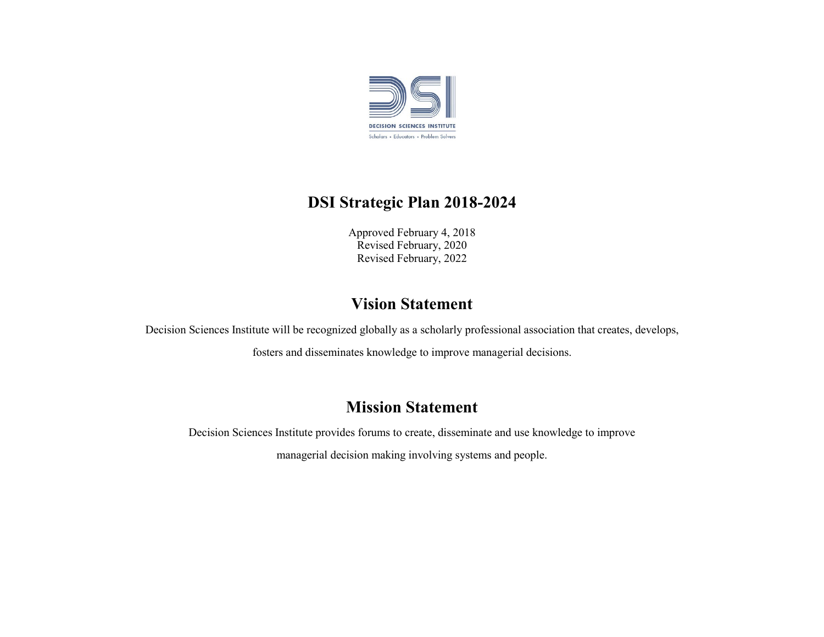

### **DSI Strategic Plan 2018-2024**

Approved February 4, 2018 Revised February, 2020 Revised February, 2022

### **Vision Statement**

Decision Sciences Institute will be recognized globally as a scholarly professional association that creates, develops,

fosters and disseminates knowledge to improve managerial decisions.

#### **Mission Statement**

Decision Sciences Institute provides forums to create, disseminate and use knowledge to improve managerial decision making involving systems and people.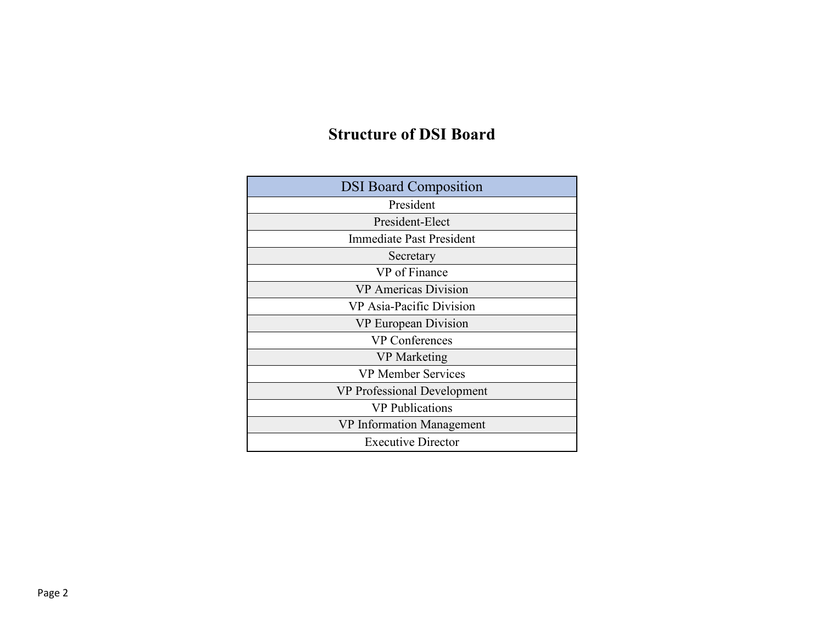## **Structure of DSI Board**

| <b>DSI Board Composition</b>    |
|---------------------------------|
| President                       |
| President-Elect                 |
| <b>Immediate Past President</b> |
| Secretary                       |
| VP of Finance                   |
| <b>VP</b> Americas Division     |
| VP Asia-Pacific Division        |
| VP European Division            |
| <b>VP Conferences</b>           |
| <b>VP</b> Marketing             |
| <b>VP Member Services</b>       |
| VP Professional Development     |
| <b>VP</b> Publications          |
| VP Information Management       |
| <b>Executive Director</b>       |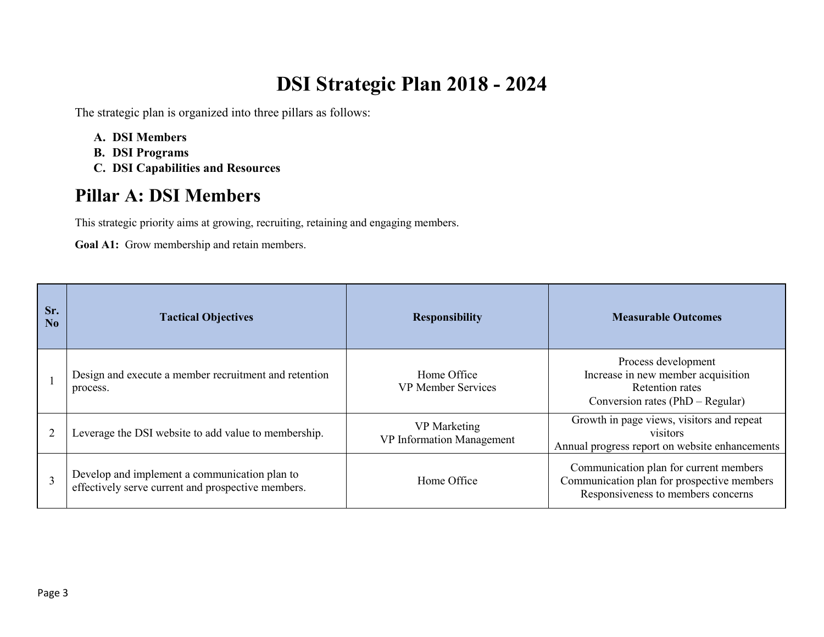# **DSI Strategic Plan 2018 - 2024**

The strategic plan is organized into three pillars as follows:

- **A. DSI Members**
- **B. DSI Programs**
- **C. DSI Capabilities and Resources**

## **Pillar A: DSI Members**

This strategic priority aims at growing, recruiting, retaining and engaging members.

**Goal A1:** Grow membership and retain members.

| Sr.<br>No | <b>Tactical Objectives</b>                                                                          | <b>Responsibility</b>                     | <b>Measurable Outcomes</b>                                                                                                 |
|-----------|-----------------------------------------------------------------------------------------------------|-------------------------------------------|----------------------------------------------------------------------------------------------------------------------------|
|           | Design and execute a member recruitment and retention<br>process.                                   | Home Office<br><b>VP Member Services</b>  | Process development<br>Increase in new member acquisition<br>Retention rates<br>Conversion rates $(PhD - Regular)$         |
|           | Leverage the DSI website to add value to membership.                                                | VP Marketing<br>VP Information Management | Growth in page views, visitors and repeat<br>visitors<br>Annual progress report on website enhancements                    |
|           | Develop and implement a communication plan to<br>effectively serve current and prospective members. | Home Office                               | Communication plan for current members<br>Communication plan for prospective members<br>Responsiveness to members concerns |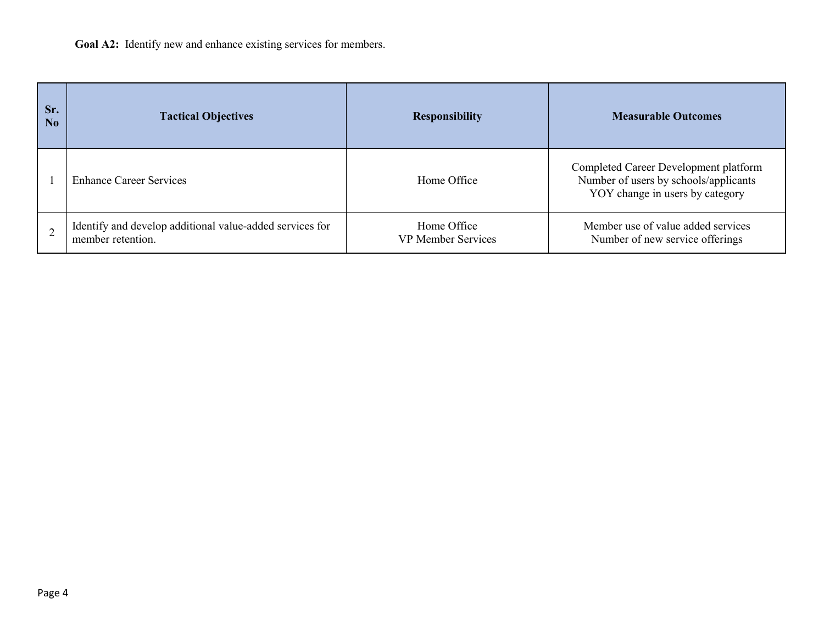| Sr.<br>N <sub>o</sub> | <b>Tactical Objectives</b>                                                    | <b>Responsibility</b>                    | <b>Measurable Outcomes</b>                                                                                        |
|-----------------------|-------------------------------------------------------------------------------|------------------------------------------|-------------------------------------------------------------------------------------------------------------------|
|                       | <b>Enhance Career Services</b>                                                | Home Office                              | Completed Career Development platform<br>Number of users by schools/applicants<br>YOY change in users by category |
|                       | Identify and develop additional value-added services for<br>member retention. | Home Office<br><b>VP Member Services</b> | Member use of value added services<br>Number of new service offerings                                             |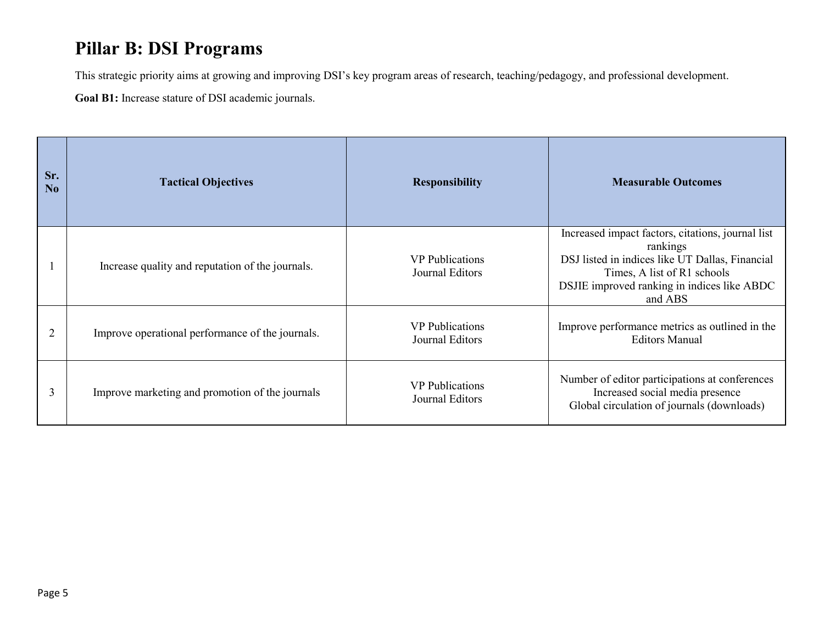## **Pillar B: DSI Programs**

This strategic priority aims at growing and improving DSI's key program areas of research, teaching/pedagogy, and professional development.

**Goal B1:** Increase stature of DSI academic journals.

| Sr.<br>N <sub>o</sub> | <b>Tactical Objectives</b>                       | <b>Responsibility</b>                     | <b>Measurable Outcomes</b>                                                                                                                                                                                |
|-----------------------|--------------------------------------------------|-------------------------------------------|-----------------------------------------------------------------------------------------------------------------------------------------------------------------------------------------------------------|
|                       | Increase quality and reputation of the journals. | <b>VP</b> Publications<br>Journal Editors | Increased impact factors, citations, journal list<br>rankings<br>DSJ listed in indices like UT Dallas, Financial<br>Times, A list of R1 schools<br>DSJIE improved ranking in indices like ABDC<br>and ABS |
| $\overline{2}$        | Improve operational performance of the journals. | <b>VP</b> Publications<br>Journal Editors | Improve performance metrics as outlined in the<br><b>Editors Manual</b>                                                                                                                                   |
| 3                     | Improve marketing and promotion of the journals  | <b>VP</b> Publications<br>Journal Editors | Number of editor participations at conferences<br>Increased social media presence<br>Global circulation of journals (downloads)                                                                           |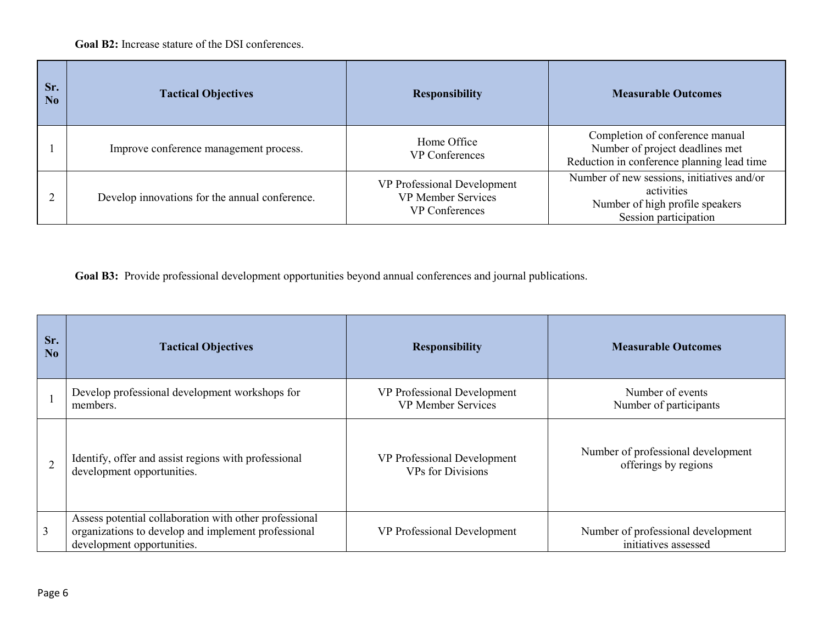**Goal B2:** Increase stature of the DSI conferences.

| Sr.<br>N <sub>0</sub> | <b>Tactical Objectives</b>                     | <b>Responsibility</b>                                                             | <b>Measurable Outcomes</b>                                                                                           |
|-----------------------|------------------------------------------------|-----------------------------------------------------------------------------------|----------------------------------------------------------------------------------------------------------------------|
|                       | Improve conference management process.         | Home Office<br><b>VP</b> Conferences                                              | Completion of conference manual<br>Number of project deadlines met<br>Reduction in conference planning lead time     |
|                       | Develop innovations for the annual conference. | VP Professional Development<br><b>VP Member Services</b><br><b>VP</b> Conferences | Number of new sessions, initiatives and/or<br>activities<br>Number of high profile speakers<br>Session participation |

**Goal B3:** Provide professional development opportunities beyond annual conferences and journal publications.

| Sr.<br>$\bf No$ | <b>Tactical Objectives</b>                                                                                                                  | <b>Responsibility</b>       | <b>Measurable Outcomes</b>                                 |
|-----------------|---------------------------------------------------------------------------------------------------------------------------------------------|-----------------------------|------------------------------------------------------------|
|                 | Develop professional development workshops for                                                                                              | VP Professional Development | Number of events                                           |
|                 | members.                                                                                                                                    | <b>VP</b> Member Services   | Number of participants                                     |
|                 | Identify, offer and assist regions with professional                                                                                        | VP Professional Development | Number of professional development                         |
|                 | development opportunities.                                                                                                                  | <b>VPs</b> for Divisions    | offerings by regions                                       |
| 3               | Assess potential collaboration with other professional<br>organizations to develop and implement professional<br>development opportunities. | VP Professional Development | Number of professional development<br>initiatives assessed |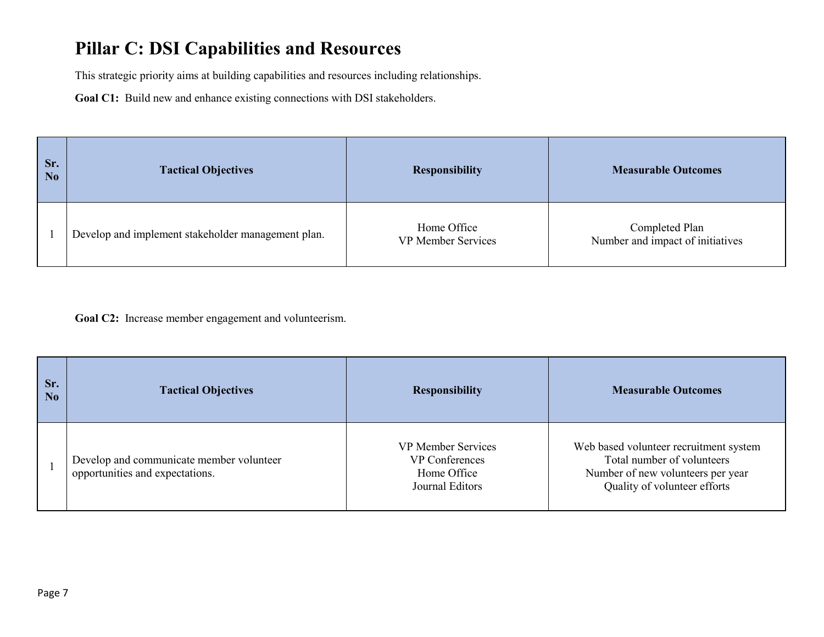## **Pillar C: DSI Capabilities and Resources**

This strategic priority aims at building capabilities and resources including relationships.

**Goal C1:** Build new and enhance existing connections with DSI stakeholders.

| Sr.<br>No | <b>Tactical Objectives</b>                         | <b>Responsibility</b>                    | <b>Measurable Outcomes</b>                         |
|-----------|----------------------------------------------------|------------------------------------------|----------------------------------------------------|
|           | Develop and implement stakeholder management plan. | Home Office<br><b>VP Member Services</b> | Completed Plan<br>Number and impact of initiatives |

Goal C2: Increase member engagement and volunteerism.

| Sr.<br>N <sub>o</sub> | <b>Tactical Objectives</b>                                                  | <b>Responsibility</b>                                                         | <b>Measurable Outcomes</b>                                                                                                                |
|-----------------------|-----------------------------------------------------------------------------|-------------------------------------------------------------------------------|-------------------------------------------------------------------------------------------------------------------------------------------|
|                       | Develop and communicate member volunteer<br>opportunities and expectations. | <b>VP Member Services</b><br>VP Conferences<br>Home Office<br>Journal Editors | Web based volunteer recruitment system<br>Total number of volunteers<br>Number of new volunteers per year<br>Quality of volunteer efforts |